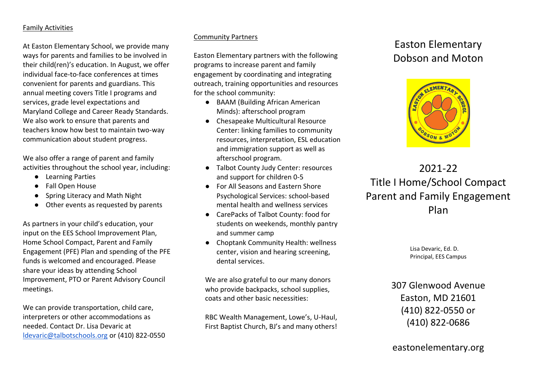#### Family Activities

At Easton Elementary School, we provide many ways for parents and families to be involved in their child(ren)'s education. In August, we offer individual face-to-face conferences at times convenient for parents and guardians. This annual meeting covers Title I programs and services, grade level expectations and Maryland College and Career Ready Standards. We also work to ensure that parents and teachers know how best to maintain two-way communication about student progress.

We also offer a range of parent and family activities throughout the school year, including:

- Learning Parties
- Fall Open House
- Spring Literacy and Math Night
- Other events as requested by parents

As partners in your child's education, your input on the EES School Improvement Plan, Home School Compact, Parent and Family Engagement (PFE) Plan and spending of the PFE funds is welcomed and encouraged. Please share your ideas by attending School Improvement, PTO or Parent Advisory Council meetings.

We can provide transportation, child care, interpreters or other accommodations as needed. Contact Dr. Lisa Devaric at [ldevaric@talbotschools.org](mailto:ldevaric@talbotschools.org) or (410) 822-0550

### Community Partners

Easton Elementary partners with the following programs to increase parent and family engagement by coordinating and integrating outreach, training opportunities and resources for the school community:

- BAAM (Building African American Minds): afterschool program
- Chesapeake Multicultural Resource Center: linking families to community resources, interpretation, ESL education and immigration support as well as afterschool program.
- Talbot County Judy Center: resources and support for children 0-5
- For All Seasons and Eastern Shore Psychological Services: school-based mental health and wellness services
- CarePacks of Talbot County: food for students on weekends, monthly pantry and summer camp
- Choptank Community Health: wellness center, vision and hearing screening, dental services.

We are also grateful to our many donors who provide backpacks, school supplies, coats and other basic necessities:

RBC Wealth Management, Lowe's, U-Haul, First Baptist Church, BJ's and many others!

# Easton Elementary Dobson and Moton



# 2021-22 Title I Home/School Compact Parent and Family Engagement Plan

Lisa Devaric, Ed. D. Principal, EES Campus

307 Glenwood Avenue Easton, MD 21601 (410) 822-0550 or (410) 822-0686